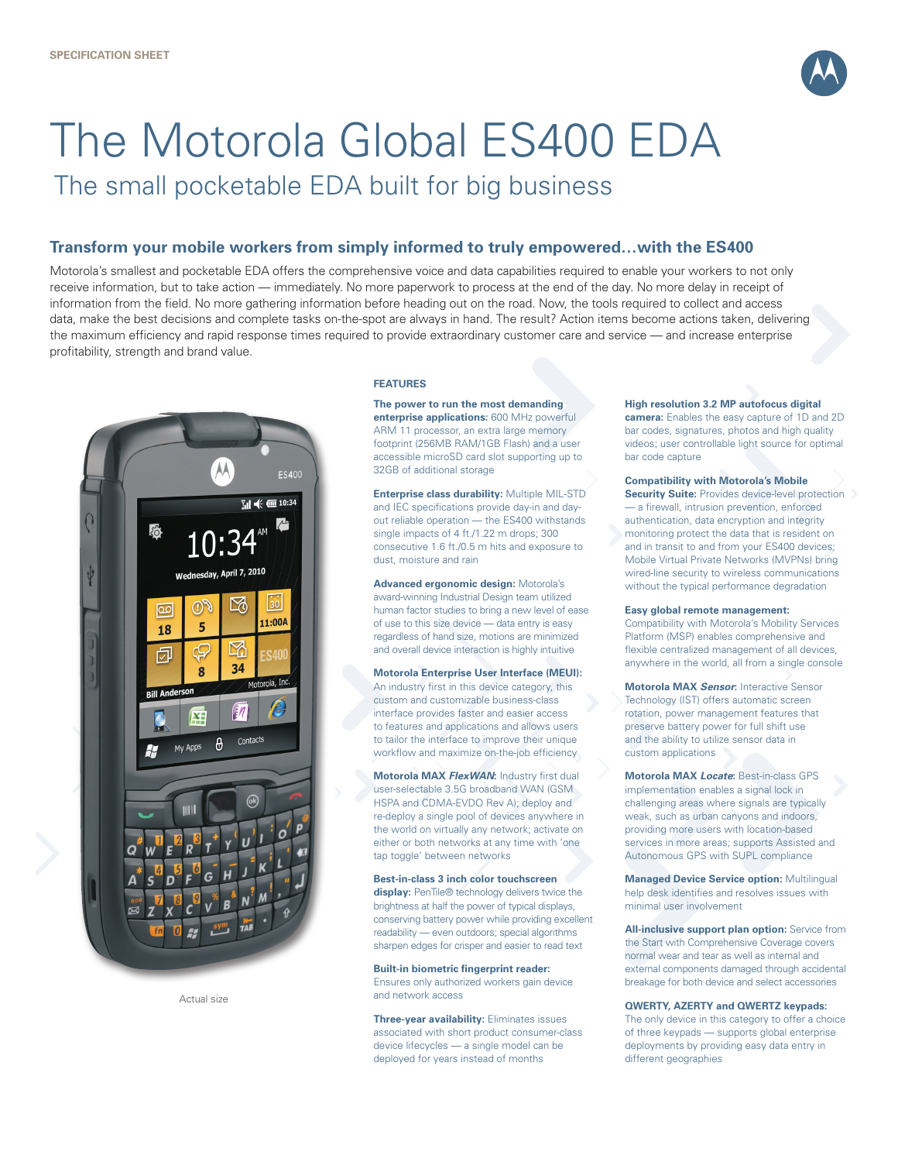

# The Motorola Global ES400 EDA

The small pocketable EDA built for big business

## **Transform your mobile workers from simply informed to truly empowered…with the ES400**

Motorola's smallest and pocketable EDA offers the comprehensive voice and data capabilities required to enable your workers to not only receive information, but to take action — immediately. No more paperwork to process at the end of the day. No more delay in receipt of information from the field. No more gathering information before heading out on the road. Now, the tools required to collect and access data, make the best decisions and complete tasks on-the-spot are always in hand. The result? Action items become actions taken, delivering the maximum efficiency and rapid response times required to provide extraordinary customer care and service — and increase enterprise profitability, strength and brand value.



Actual size

#### **FEATURES**

**The power to run the most demanding enterprise applications:** 600 MHz powerful ARM 11 processor, an extra large memory footprint (256MB RAM/1GB Flash) and a user accessible microSD card slot supporting up to 32GB of additional storage

**Enterprise class durability:** Multiple MIL-STD and IEC specifications provide day-in and dayout reliable operation — the ES400 withstands single impacts of 4 ft./1.22 m drops; 300 consecutive 1.6 ft./0.5 m hits and exposure to dust, moisture and rain

**Advanced ergonomic design:** Motorola's award-winning Industrial Design team utilized human factor studies to bring a new level of ease of use to this size device — data entry is easy regardless of hand size, motions are minimized and overall device interaction is highly intuitive

**Motorola Enterprise User Interface (MEUI):**  An industry first in this device category, this custom and customizable business-class interface provides faster and easier access to features and applications and allows users to tailor the interface to improve their unique workflow and maximize on-the-job efficiency

**Motorola MAX** *FlexWAN***:** Industry first dual user-selectable 3.5G broadband WAN (GSM HSPA and CDMA-EVDO Rev A); deploy and re-deploy a single pool of devices anywhere in the world on virtually any network; activate on either or both networks at any time with 'one tap toggle' between networks

**Best-in-class 3 inch color touchscreen display:** PenTile® technology delivers twice the brightness at half the power of typical displays, conserving battery power while providing excellent readability — even outdoors; special algorithms sharpen edges for crisper and easier to read text

#### **Built-in biometric fingerprint reader:**

Ensures only authorized workers gain device and network access

**Three-year availability:** Eliminates issues associated with short product consumer-class device lifecycles — a single model can be deployed for years instead of months

#### **High resolution 3.2 MP autofocus digital**

**camera:** Enables the easy capture of 1D and 2D bar codes, signatures, photos and high quality videos; user controllable light source for optimal bar code capture

#### **Compatibility with Motorola's Mobile**

**Security Suite:** Provides device-level protection — a firewall, intrusion prevention, enforced authentication, data encryption and integrity monitoring protect the data that is resident on and in transit to and from your ES400 devices; Mobile Virtual Private Networks (MVPNs) bring wired-line security to wireless communications without the typical performance degradation

#### **Easy global remote management:**

Compatibility with Motorola's Mobility Services Platform (MSP) enables comprehensive and flexible centralized management of all devices, anywhere in the world, all from a single console

**Motorola MAX** *Sensor***:** Interactive Sensor Technology (IST) offers automatic screen rotation, power management features that preserve battery power for full shift use and the ability to utilize sensor data in custom applications

**Motorola MAX** *Locate***:** Best-in-class GPS implementation enables a signal lock in challenging areas where signals are typically weak, such as urban canyons and indoors, providing more users with location-based services in more areas; supports Assisted and Autonomous GPS with SUPL compliance

**Managed Device Service option:** Multilingual help desk identifies and resolves issues with minimal user involvement

**All-inclusive support plan option:** Service from the Start with Comprehensive Coverage covers normal wear and tear as well as internal and external components damaged through accidental breakage for both device and select accessories

#### **QWERTY, AZERTY and QWERTZ keypads:**

The only device in this category to offer a choice of three keypads — supports global enterprise deployments by providing easy data entry in different geographies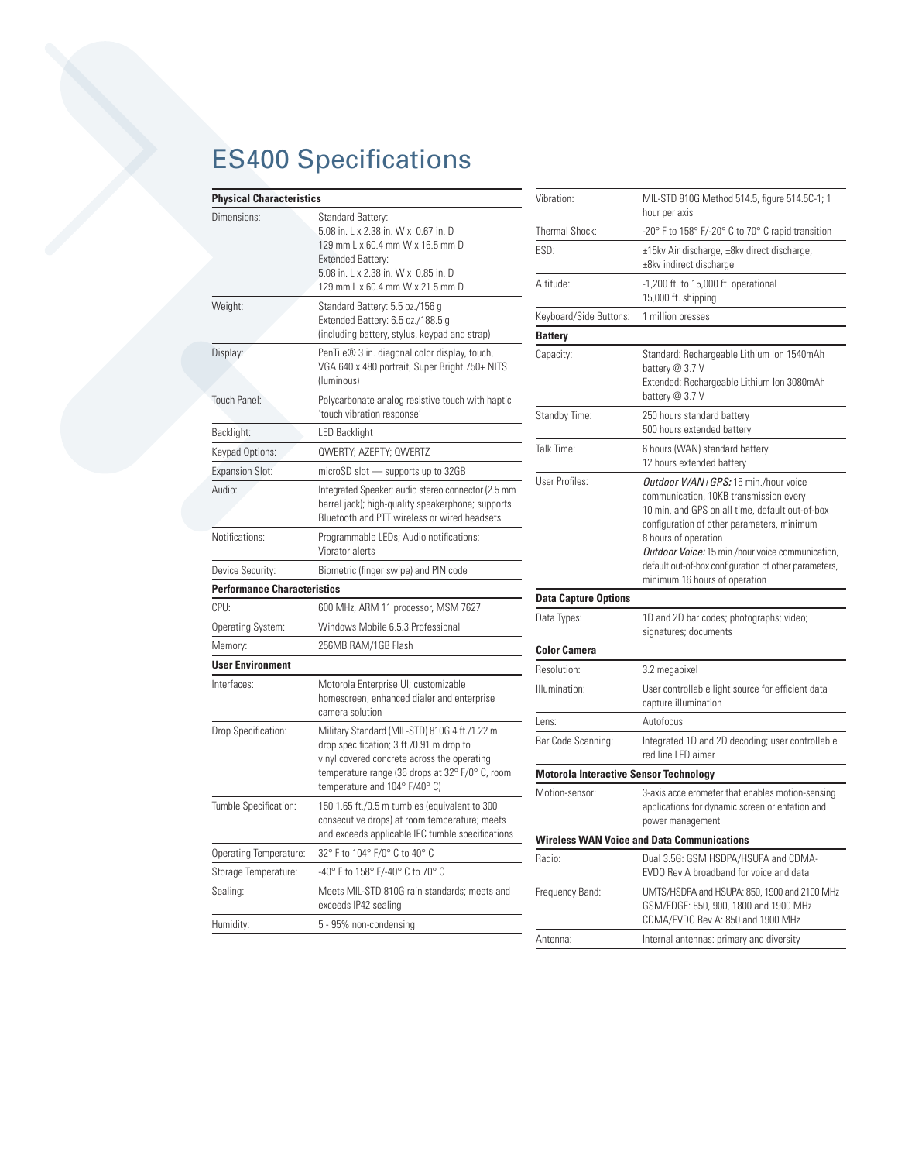# ES400 Specifications

| <b>Physical Characteristics</b><br>Vibrat |                                                                                                                                                                                                       |                                |  |  |
|-------------------------------------------|-------------------------------------------------------------------------------------------------------------------------------------------------------------------------------------------------------|--------------------------------|--|--|
| Dimensions:                               | Standard Battery:<br>5.08 in. L x 2.38 in. W x 0.67 in. D<br>129 mm L x 60.4 mm W x 16.5 mm D<br><b>Extended Battery:</b><br>5.08 in. L x 2.38 in. W x 0.85 in. D<br>129 mm L x 60.4 mm W x 21.5 mm D | Therm<br>ESD:<br>Altitu        |  |  |
| Weight:                                   | Standard Battery: 5.5 oz./156 g<br>Extended Battery: 6.5 oz./188.5 g<br>(including battery, stylus, keypad and strap)                                                                                 | Keybo<br><b>Batte</b>          |  |  |
| Display:                                  | PenTile <sup>®</sup> 3 in. diagonal color display, touch,<br>VGA 640 x 480 portrait, Super Bright 750+ NITS<br>(luminous)                                                                             | Capac                          |  |  |
| Touch Panel:                              | Polycarbonate analog resistive touch with haptic<br>'touch vibration response'                                                                                                                        | Stand                          |  |  |
| Backlight:                                | <b>LED Backlight</b>                                                                                                                                                                                  |                                |  |  |
| Keypad Options:                           | QWERTY; AZERTY; QWERTZ                                                                                                                                                                                | Talk T                         |  |  |
| <b>Expansion Slot:</b>                    | microSD slot - supports up to 32GB                                                                                                                                                                    | User F                         |  |  |
| Audio:                                    | Integrated Speaker; audio stereo connector (2.5 mm<br>barrel jack); high-quality speakerphone; supports<br>Bluetooth and PTT wireless or wired headsets                                               |                                |  |  |
| Notifications:                            | Programmable LEDs; Audio notifications;<br>Vibrator alerts                                                                                                                                            |                                |  |  |
| Device Security:                          | Biometric (finger swipe) and PIN code                                                                                                                                                                 |                                |  |  |
| <b>Performance Characteristics</b>        |                                                                                                                                                                                                       | <b>Data</b>                    |  |  |
| CPU:                                      | 600 MHz, ARM 11 processor, MSM 7627                                                                                                                                                                   | Data <sup>1</sup>              |  |  |
| Operating System:                         | Windows Mobile 6.5.3 Professional                                                                                                                                                                     |                                |  |  |
| Memory:                                   | 256MB RAM/1GB Flash                                                                                                                                                                                   | Color                          |  |  |
| <b>User Environment</b>                   |                                                                                                                                                                                                       | Resol                          |  |  |
| Interfaces:                               | Motorola Enterprise UI; customizable<br>homescreen, enhanced dialer and enterprise<br>camera solution                                                                                                 | Illumir                        |  |  |
| Drop Specification:                       | Military Standard (MIL-STD) 810G 4 ft./1.22 m<br>drop specification; 3 ft./0.91 m drop to<br>vinyl covered concrete across the operating<br>temperature range (36 drops at 32° F/0° C, room           | Lens:<br>Bar Co<br><b>Moto</b> |  |  |
|                                           | temperature and $104^{\circ}$ F/40° C)                                                                                                                                                                | Motio                          |  |  |
| Tumble Specification:                     | 150 1.65 ft./0.5 m tumbles (equivalent to 300<br>consecutive drops) at room temperature; meets<br>and exceeds applicable IEC tumble specifications                                                    | Wirel                          |  |  |
| Operating Temperature:                    | 32° F to 104° F/0° C to 40° C                                                                                                                                                                         | Radio                          |  |  |
| Storage Temperature:                      | -40° F to 158° F/-40° C to 70° C                                                                                                                                                                      |                                |  |  |
| Sealing:                                  | Meets MIL-STD 810G rain standards; meets and<br>exceeds IP42 sealing                                                                                                                                  | Freque                         |  |  |
| Humidity:                                 | 5 - 95% non-condensing                                                                                                                                                                                |                                |  |  |

| Vibration:                                    | MIL-STD 810G Method 514.5, figure 514.5C-1; 1<br>hour per axis                                                                                                                                                                                                                                                                                       |  |
|-----------------------------------------------|------------------------------------------------------------------------------------------------------------------------------------------------------------------------------------------------------------------------------------------------------------------------------------------------------------------------------------------------------|--|
| Thermal Shock:                                | -20° F to 158° F/-20° C to 70° C rapid transition                                                                                                                                                                                                                                                                                                    |  |
| ESD:                                          | ±15kv Air discharge, ±8kv direct discharge,<br>±8kv indirect discharge                                                                                                                                                                                                                                                                               |  |
| Altitude:                                     | -1,200 ft. to 15,000 ft. operational<br>15,000 ft. shipping                                                                                                                                                                                                                                                                                          |  |
| Keyboard/Side Buttons:                        | 1 million presses                                                                                                                                                                                                                                                                                                                                    |  |
| <b>Battery</b>                                |                                                                                                                                                                                                                                                                                                                                                      |  |
| Capacity:                                     | Standard: Rechargeable Lithium Ion 1540mAh<br>battery @ 3.7 V<br>Extended: Rechargeable Lithium Ion 3080mAh<br>battery @ 3.7 V                                                                                                                                                                                                                       |  |
| Standby Time:                                 | 250 hours standard battery<br>500 hours extended battery                                                                                                                                                                                                                                                                                             |  |
| Talk Time:                                    | 6 hours (WAN) standard battery<br>12 hours extended battery                                                                                                                                                                                                                                                                                          |  |
| User Profiles:                                | Outdoor WAN+GPS: 15 min./hour voice<br>communication, 10KB transmission every<br>10 min, and GPS on all time, default out-of-box<br>configuration of other parameters, minimum<br>8 hours of operation<br>Outdoor Voice: 15 min./hour voice communication,<br>default out-of-box configuration of other parameters,<br>minimum 16 hours of operation |  |
| <b>Data Capture Options</b>                   |                                                                                                                                                                                                                                                                                                                                                      |  |
| Data Types:                                   | 1D and 2D bar codes; photographs; video;<br>signatures; documents                                                                                                                                                                                                                                                                                    |  |
| <b>Color Camera</b>                           |                                                                                                                                                                                                                                                                                                                                                      |  |
| Resolution:                                   | 3.2 megapixel                                                                                                                                                                                                                                                                                                                                        |  |
| Illumination:                                 | User controllable light source for efficient data<br>capture illumination                                                                                                                                                                                                                                                                            |  |
| Lens:                                         | Autofocus                                                                                                                                                                                                                                                                                                                                            |  |
| Bar Code Scanning:                            | Integrated 1D and 2D decoding; user controllable<br>red line LED aimer                                                                                                                                                                                                                                                                               |  |
| <b>Motorola Interactive Sensor Technology</b> |                                                                                                                                                                                                                                                                                                                                                      |  |
| Motion-sensor:                                | 3-axis accelerometer that enables motion-sensing<br>applications for dynamic screen orientation and<br>power management                                                                                                                                                                                                                              |  |
|                                               | <b>Wireless WAN Voice and Data Communications</b>                                                                                                                                                                                                                                                                                                    |  |
| Radio:                                        | Dual 3.5G: GSM HSDPA/HSUPA and CDMA-<br>EVDO Rev A broadband for voice and data                                                                                                                                                                                                                                                                      |  |
| Frequency Band:                               | UMTS/HSDPA and HSUPA: 850, 1900 and 2100 MHz<br>GSM/EDGE: 850, 900, 1800 and 1900 MHz<br>CDMA/EVDO Rev A: 850 and 1900 MHz                                                                                                                                                                                                                           |  |
| Antenna:                                      | Internal antennas: primary and diversity                                                                                                                                                                                                                                                                                                             |  |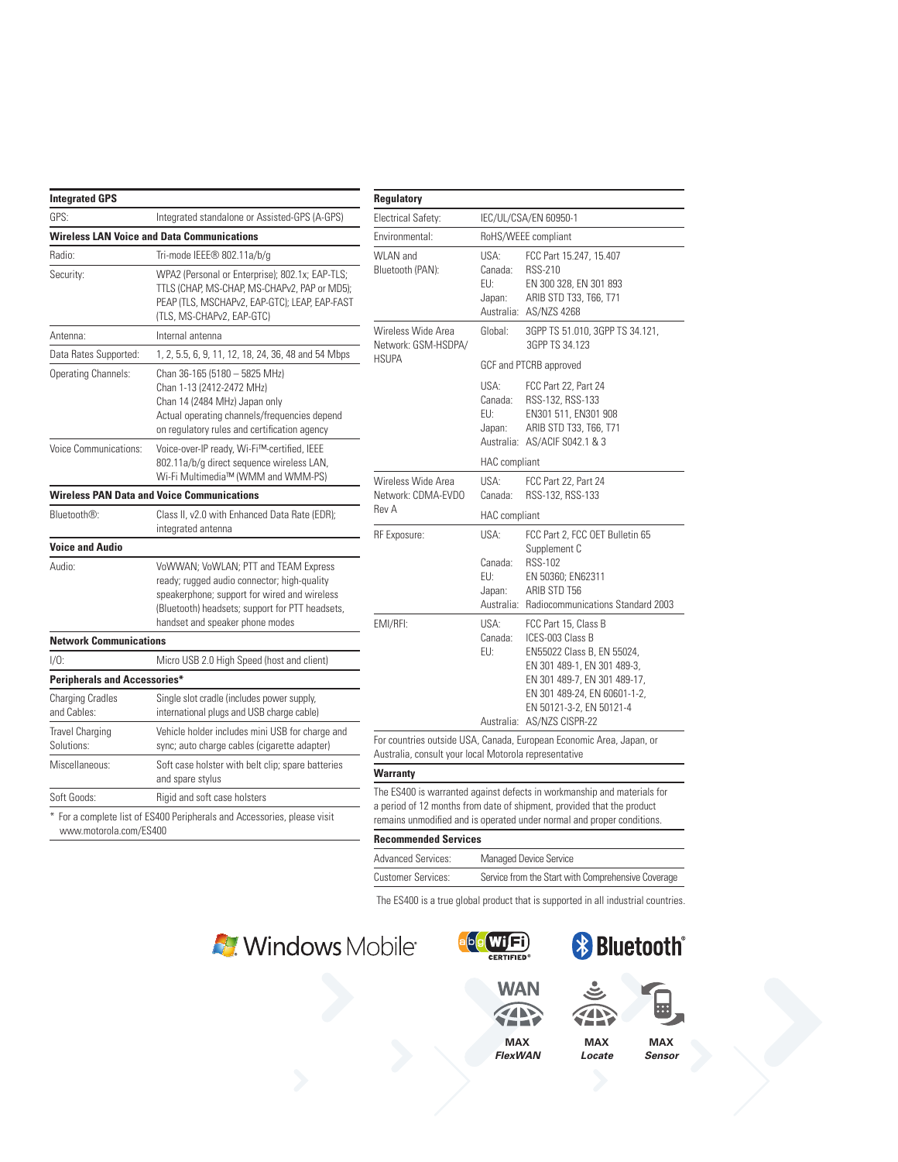| <b>Integrated GPS</b>                  |                                                                                                                                                                                                                           |  |
|----------------------------------------|---------------------------------------------------------------------------------------------------------------------------------------------------------------------------------------------------------------------------|--|
| GPS:                                   | Integrated standalone or Assisted-GPS (A-GPS)                                                                                                                                                                             |  |
|                                        | <b>Wireless LAN Voice and Data Communications</b>                                                                                                                                                                         |  |
| Radio:                                 | Tri-mode IEEE® 802.11a/b/g                                                                                                                                                                                                |  |
| Security:                              | WPA2 (Personal or Enterprise); 802.1x; EAP-TLS;<br>TTLS (CHAP, MS-CHAP, MS-CHAPv2, PAP or MD5);<br>PEAP (TLS, MSCHAPv2, EAP-GTC); LEAP, EAP-FAST<br>(TLS, MS-CHAPv2, EAP-GTC)                                             |  |
| Antenna:                               | Internal antenna                                                                                                                                                                                                          |  |
| Data Rates Supported:                  | 1, 2, 5.5, 6, 9, 11, 12, 18, 24, 36, 48 and 54 Mbps                                                                                                                                                                       |  |
| <b>Operating Channels:</b>             | Chan 36-165 (5180 - 5825 MHz)<br>Chan 1-13 (2412-2472 MHz)<br>Chan 14 (2484 MHz) Japan only<br>Actual operating channels/frequencies depend<br>on regulatory rules and certification agency                               |  |
| <b>Voice Communications:</b>           | Voice-over-IP ready, Wi-Fi™-certified, IEEE<br>802.11a/b/g direct sequence wireless LAN,<br>Wi-Fi Multimedia™ (WMM and WMM-PS)                                                                                            |  |
|                                        | <b>Wireless PAN Data and Voice Communications</b>                                                                                                                                                                         |  |
| Bluetooth®:                            | Class II, v2.0 with Enhanced Data Rate (EDR);<br>integrated antenna                                                                                                                                                       |  |
| <b>Voice and Audio</b>                 |                                                                                                                                                                                                                           |  |
| Audio:                                 | VoWWAN; VoWLAN; PTT and TEAM Express<br>ready; rugged audio connector; high-quality<br>speakerphone; support for wired and wireless<br>(Bluetooth) headsets; support for PTT headsets,<br>handset and speaker phone modes |  |
| <b>Network Communications</b>          |                                                                                                                                                                                                                           |  |
| $1/0$ :                                | Micro USB 2.0 High Speed (host and client)                                                                                                                                                                                |  |
| <b>Peripherals and Accessories*</b>    |                                                                                                                                                                                                                           |  |
| <b>Charging Cradles</b><br>and Cables: | Single slot cradle (includes power supply,<br>international plugs and USB charge cable)                                                                                                                                   |  |
| <b>Travel Charging</b>                 | Vehicle holder includes mini USB for charge and<br>sync; auto charge cables (cigarette adapter)                                                                                                                           |  |
| Solutions:                             |                                                                                                                                                                                                                           |  |
| Miscellaneous:                         | Soft case holster with belt clip; spare batteries<br>and spare stylus                                                                                                                                                     |  |

### **Regulatory**

| Electrical Safety:                                        |                                                | IEC/UL/CSA/EN 60950-1                                                                                                                                                                                                           |  |
|-----------------------------------------------------------|------------------------------------------------|---------------------------------------------------------------------------------------------------------------------------------------------------------------------------------------------------------------------------------|--|
| Environmental:                                            |                                                | RoHS/WEEE compliant                                                                                                                                                                                                             |  |
| WLAN and<br>Bluetooth (PAN):                              | USA:<br>Canada:<br>FU:<br>Japan:<br>Australia: | FCC Part 15.247, 15.407<br><b>RSS-210</b><br>EN 300 328, EN 301 893<br>ARIB STD T33, T66, T71<br>AS/NZS 4268                                                                                                                    |  |
| Wireless Wide Area<br>Network: GSM-HSDPA/<br><b>HSUPA</b> | Global:                                        | 3GPP TS 51.010, 3GPP TS 34.121,<br>3GPP TS 34.123                                                                                                                                                                               |  |
|                                                           | GCF and PTCRB approved                         |                                                                                                                                                                                                                                 |  |
|                                                           | USA:<br>Canada:<br>FU:<br>Japan:               | FCC Part 22, Part 24<br>RSS-132, RSS-133<br>EN301 511, EN301 908<br>ARIB STD T33, T66, T71<br>Australia: AS/ACIF S042.1 & 3                                                                                                     |  |
|                                                           | <b>HAC</b> compliant                           |                                                                                                                                                                                                                                 |  |
| Wireless Wide Area<br>Network: CDMA-EVDO                  | USA:<br>Canada:                                | FCC Part 22, Part 24<br>RSS-132, RSS-133                                                                                                                                                                                        |  |
| Rev A                                                     | HAC compliant                                  |                                                                                                                                                                                                                                 |  |
| RF Exposure:                                              | USA:<br>Canada:<br>FU:<br>Japan:<br>Australia: | FCC Part 2, FCC OET Bulletin 65<br>Supplement C<br><b>RSS-102</b><br>EN 50360; EN62311<br>ARIB STD T56<br><b>Radiocommunications Standard 2003</b>                                                                              |  |
| EMI/RFI:                                                  | USA:<br>Canada:<br>FU:                         | FCC Part 15, Class B<br>ICES-003 Class B<br>EN55022 Class B, EN 55024,<br>EN 301 489-1, EN 301 489-3,<br>EN 301 489-7, EN 301 489-17,<br>EN 301 489-24, EN 60601-1-2,<br>EN 50121-3-2, EN 50121-4<br>Australia: AS/NZS CISPR-22 |  |
|                                                           |                                                | For countries outside USA, Canada, European Economic Area, Japan, or                                                                                                                                                            |  |
| Australia, consult your local Motorola representative     |                                                |                                                                                                                                                                                                                                 |  |
| <b>Warranty</b>                                           |                                                |                                                                                                                                                                                                                                 |  |
|                                                           |                                                | The ES400 is warranted against defects in workmanship and materials for<br>a period of 12 months from date of shipment, provided that the product<br>remains unmodified and is operated under normal and proper conditions.     |  |

#### **Recommended Services**

|  | Advanced Services: | Managed Device Service                             |  |  |
|--|--------------------|----------------------------------------------------|--|--|
|  | Customer Services: | Service from the Start with Comprehensive Coverage |  |  |
|  |                    |                                                    |  |  |

The ES400 is a true global product that is supported in all industrial countries.











**MAX** *Locate*



**MAX** *FlexWAN*

**MAX** *Sensor*